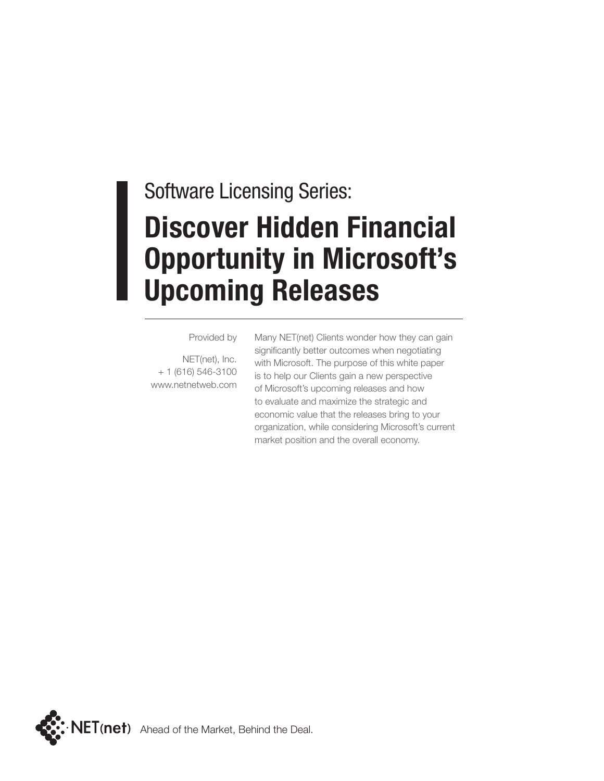# Software Licensing Series: **Discover Hidden Financial Opportunity in Microsoft's Upcoming Releases**

Provided by

NET(net), Inc. + 1 (616) 546-3100 www.netnetweb.com Many NET(net) Clients wonder how they can gain significantly better outcomes when negotiating with Microsoft. The purpose of this white paper is to help our Clients gain a new perspective of Microsoft's upcoming releases and how to evaluate and maximize the strategic and economic value that the releases bring to your organization, while considering Microsoft's current market position and the overall economy.

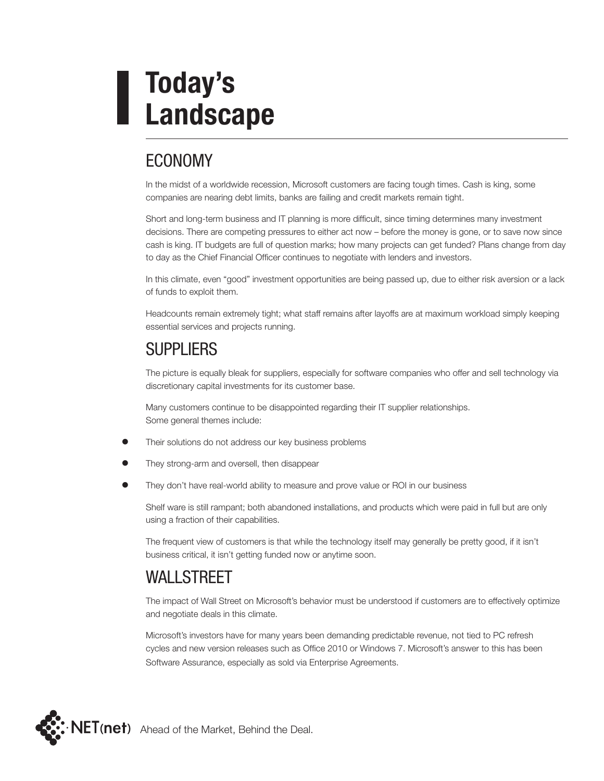# **Today's Landscape**

## ECONOMY

In the midst of a worldwide recession, Microsoft customers are facing tough times. Cash is king, some companies are nearing debt limits, banks are failing and credit markets remain tight.

Short and long-term business and IT planning is more difficult, since timing determines many investment decisions. There are competing pressures to either act now – before the money is gone, or to save now since cash is king. IT budgets are full of question marks; how many projects can get funded? Plans change from day to day as the Chief Financial Officer continues to negotiate with lenders and investors.

In this climate, even "good" investment opportunities are being passed up, due to either risk aversion or a lack of funds to exploit them.

Headcounts remain extremely tight; what staff remains after layoffs are at maximum workload simply keeping essential services and projects running.

### **SUPPLIERS**

The picture is equally bleak for suppliers, especially for software companies who offer and sell technology via discretionary capital investments for its customer base.

 Many customers continue to be disappointed regarding their IT supplier relationships. Some general themes include:

- Their solutions do not address our key business problems
- They strong-arm and oversell, then disappear
- They don't have real-world ability to measure and prove value or ROI in our business

Shelf ware is still rampant; both abandoned installations, and products which were paid in full but are only using a fraction of their capabilities.

The frequent view of customers is that while the technology itself may generally be pretty good, if it isn't business critical, it isn't getting funded now or anytime soon.

### WALL STREET

The impact of Wall Street on Microsoft's behavior must be understood if customers are to effectively optimize and negotiate deals in this climate.

Microsoft's investors have for many years been demanding predictable revenue, not tied to PC refresh cycles and new version releases such as Office 2010 or Windows 7. Microsoft's answer to this has been Software Assurance, especially as sold via Enterprise Agreements.

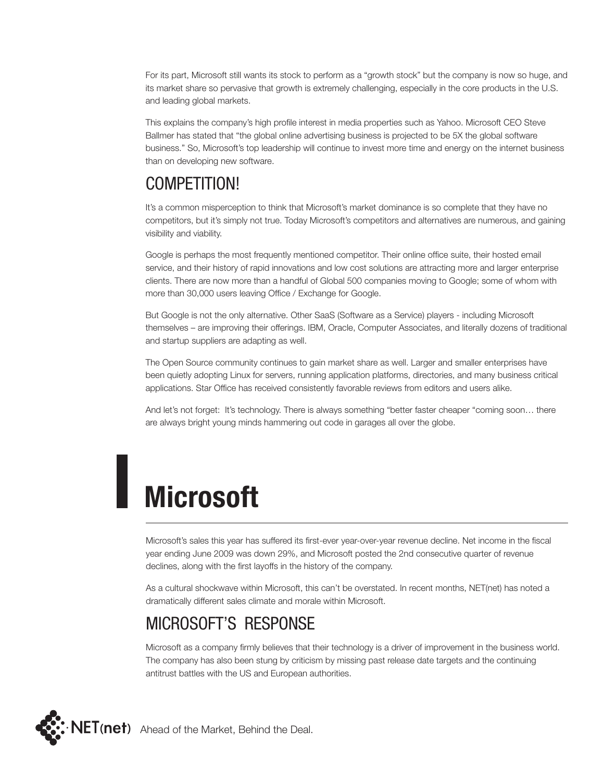For its part, Microsoft still wants its stock to perform as a "growth stock" but the company is now so huge, and its market share so pervasive that growth is extremely challenging, especially in the core products in the U.S. and leading global markets.

This explains the company's high profile interest in media properties such as Yahoo. Microsoft CEO Steve Ballmer has stated that "the global online advertising business is projected to be 5X the global software business." So, Microsoft's top leadership will continue to invest more time and energy on the internet business than on developing new software.

## COMPETITION!

It's a common misperception to think that Microsoft's market dominance is so complete that they have no competitors, but it's simply not true. Today Microsoft's competitors and alternatives are numerous, and gaining visibility and viability.

Google is perhaps the most frequently mentioned competitor. Their online office suite, their hosted email service, and their history of rapid innovations and low cost solutions are attracting more and larger enterprise clients. There are now more than a handful of Global 500 companies moving to Google; some of whom with more than 30,000 users leaving Office / Exchange for Google.

But Google is not the only alternative. Other SaaS (Software as a Service) players - including Microsoft themselves – are improving their offerings. IBM, Oracle, Computer Associates, and literally dozens of traditional and startup suppliers are adapting as well.

The Open Source community continues to gain market share as well. Larger and smaller enterprises have been quietly adopting Linux for servers, running application platforms, directories, and many business critical applications. Star Office has received consistently favorable reviews from editors and users alike.

And let's not forget: It's technology. There is always something "better faster cheaper "coming soon… there are always bright young minds hammering out code in garages all over the globe.

# **Microsoft**

Microsoft's sales this year has suffered its first-ever year-over-year revenue decline. Net income in the fiscal year ending June 2009 was down 29%, and Microsoft posted the 2nd consecutive quarter of revenue declines, along with the first layoffs in the history of the company.

As a cultural shockwave within Microsoft, this can't be overstated. In recent months, NET(net) has noted a dramatically different sales climate and morale within Microsoft.

### Microsoft's Response

Microsoft as a company firmly believes that their technology is a driver of improvement in the business world. The company has also been stung by criticism by missing past release date targets and the continuing antitrust battles with the US and European authorities.

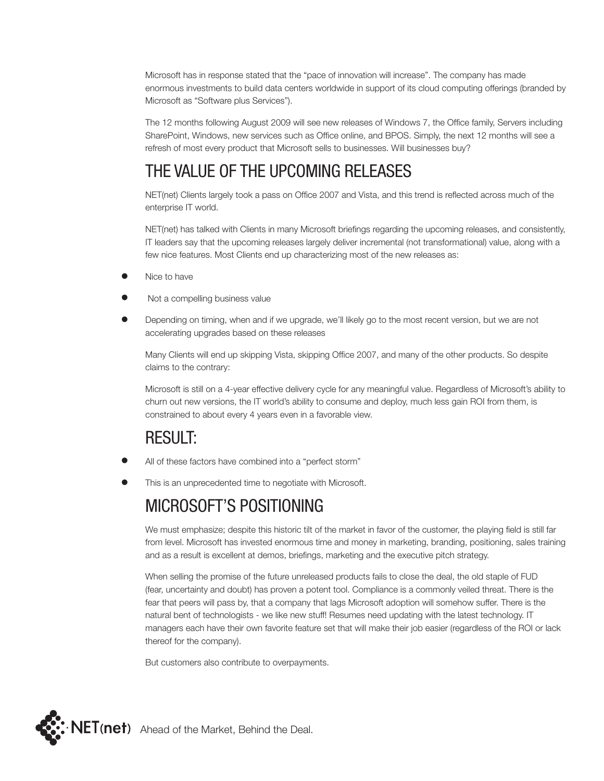Microsoft has in response stated that the "pace of innovation will increase". The company has made enormous investments to build data centers worldwide in support of its cloud computing offerings (branded by Microsoft as "Software plus Services").

The 12 months following August 2009 will see new releases of Windows 7, the Office family, Servers including SharePoint, Windows, new services such as Office online, and BPOS. Simply, the next 12 months will see a refresh of most every product that Microsoft sells to businesses. Will businesses buy?

## The Value of the Upcoming Releases

NET(net) Clients largely took a pass on Office 2007 and Vista, and this trend is reflected across much of the enterprise IT world.

NET(net) has talked with Clients in many Microsoft briefings regarding the upcoming releases, and consistently, IT leaders say that the upcoming releases largely deliver incremental (not transformational) value, along with a few nice features. Most Clients end up characterizing most of the new releases as:

- Nice to have
- Not a compelling business value
- Depending on timing, when and if we upgrade, we'll likely go to the most recent version, but we are not accelerating upgrades based on these releases

Many Clients will end up skipping Vista, skipping Office 2007, and many of the other products. So despite claims to the contrary:

Microsoft is still on a 4-year effective delivery cycle for any meaningful value. Regardless of Microsoft's ability to churn out new versions, the IT world's ability to consume and deploy, much less gain ROI from them, is constrained to about every 4 years even in a favorable view.

#### Result:

- All of these factors have combined into a "perfect storm"
- This is an unprecedented time to negotiate with Microsoft.

### MICROSOFT'S POSITIONING

We must emphasize; despite this historic tilt of the market in favor of the customer, the playing field is still far from level. Microsoft has invested enormous time and money in marketing, branding, positioning, sales training and as a result is excellent at demos, briefings, marketing and the executive pitch strategy.

When selling the promise of the future unreleased products fails to close the deal, the old staple of FUD (fear, uncertainty and doubt) has proven a potent tool. Compliance is a commonly veiled threat. There is the fear that peers will pass by, that a company that lags Microsoft adoption will somehow suffer. There is the natural bent of technologists - we like new stuff! Resumes need updating with the latest technology. IT managers each have their own favorite feature set that will make their job easier (regardless of the ROI or lack thereof for the company).

But customers also contribute to overpayments.

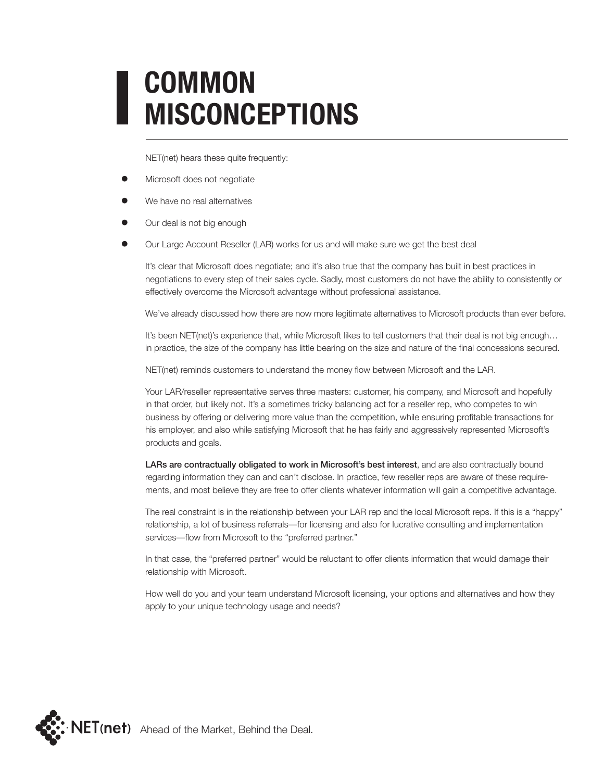# **COMMON MISCONCEPTIONS**

NET(net) hears these quite frequently:

- Microsoft does not negotiate
- We have no real alternatives
- Our deal is not big enough
- Our Large Account Reseller (LAR) works for us and will make sure we get the best deal

It's clear that Microsoft does negotiate; and it's also true that the company has built in best practices in negotiations to every step of their sales cycle. Sadly, most customers do not have the ability to consistently or effectively overcome the Microsoft advantage without professional assistance.

We've already discussed how there are now more legitimate alternatives to Microsoft products than ever before.

It's been NET(net)'s experience that, while Microsoft likes to tell customers that their deal is not big enough... in practice, the size of the company has little bearing on the size and nature of the final concessions secured.

NET(net) reminds customers to understand the money flow between Microsoft and the LAR.

Your LAR/reseller representative serves three masters: customer, his company, and Microsoft and hopefully in that order, but likely not. It's a sometimes tricky balancing act for a reseller rep, who competes to win business by offering or delivering more value than the competition, while ensuring profitable transactions for his employer, and also while satisfying Microsoft that he has fairly and aggressively represented Microsoft's products and goals.

LARs are contractually obligated to work in Microsoft's best interest, and are also contractually bound regarding information they can and can't disclose. In practice, few reseller reps are aware of these requirements, and most believe they are free to offer clients whatever information will gain a competitive advantage.

The real constraint is in the relationship between your LAR rep and the local Microsoft reps. If this is a "happy" relationship, a lot of business referrals—for licensing and also for lucrative consulting and implementation services—flow from Microsoft to the "preferred partner."

In that case, the "preferred partner" would be reluctant to offer clients information that would damage their relationship with Microsoft.

How well do you and your team understand Microsoft licensing, your options and alternatives and how they apply to your unique technology usage and needs?

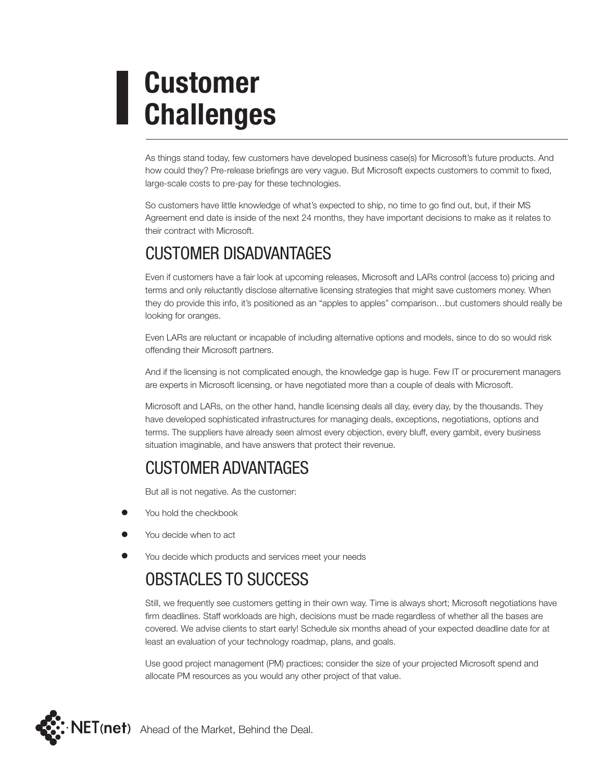# **Customer Challenges**

As things stand today, few customers have developed business case(s) for Microsoft's future products. And how could they? Pre-release briefings are very vague. But Microsoft expects customers to commit to fixed, large-scale costs to pre-pay for these technologies.

So customers have little knowledge of what's expected to ship, no time to go find out, but, if their MS Agreement end date is inside of the next 24 months, they have important decisions to make as it relates to their contract with Microsoft.

### Customer Disadvantages

Even if customers have a fair look at upcoming releases, Microsoft and LARs control (access to) pricing and terms and only reluctantly disclose alternative licensing strategies that might save customers money. When they do provide this info, it's positioned as an "apples to apples" comparison…but customers should really be looking for oranges.

Even LARs are reluctant or incapable of including alternative options and models, since to do so would risk offending their Microsoft partners.

And if the licensing is not complicated enough, the knowledge gap is huge. Few IT or procurement managers are experts in Microsoft licensing, or have negotiated more than a couple of deals with Microsoft.

Microsoft and LARs, on the other hand, handle licensing deals all day, every day, by the thousands. They have developed sophisticated infrastructures for managing deals, exceptions, negotiations, options and terms. The suppliers have already seen almost every objection, every bluff, every gambit, every business situation imaginable, and have answers that protect their revenue.

#### Customer Advantages

But all is not negative. As the customer:

- You hold the checkbook
- You decide when to act
- You decide which products and services meet your needs

#### Obstacles to Success

Still, we frequently see customers getting in their own way. Time is always short; Microsoft negotiations have firm deadlines. Staff workloads are high, decisions must be made regardless of whether all the bases are covered. We advise clients to start early! Schedule six months ahead of your expected deadline date for at least an evaluation of your technology roadmap, plans, and goals.

Use good project management (PM) practices; consider the size of your projected Microsoft spend and allocate PM resources as you would any other project of that value.